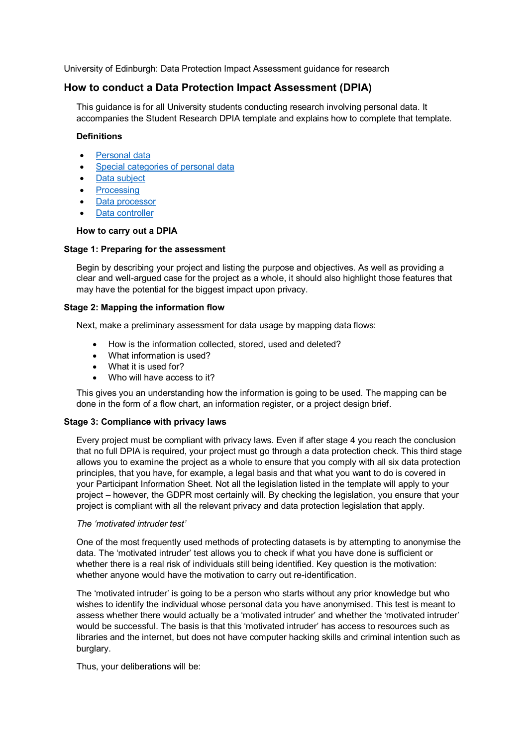University of Edinburgh: Data Protection Impact Assessment guidance for research

# **How to conduct a Data Protection Impact Assessment (DPIA)**

This guidance is for all University students conducting research involving personal data. It accompanies the Student Research DPIA template and explains how to complete that template.

#### **Definitions**

- [Personal data](https://www.ed.ac.uk/data-protection/data-protection-guidance/definitions/definitions-personal-data)
- [Special categories](https://www.ed.ac.uk/data-protection/data-protection-guidance/definitions/special-categories) of personal data
- [Data subject](https://www.ed.ac.uk/data-protection/data-protection-guidance/definitions/data-subject)
- [Processing](https://www.ed.ac.uk/data-protection/data-protection-guidance/definitions/data-processing)
- [Data processor](https://www.ed.ac.uk/data-protection/data-protection-guidance/definitions/data-processor)
- [Data controller](https://www.ed.ac.uk/data-protection/data-protection-guidance/definitions/data-controller)

#### **How to carry out a DPIA**

# **Stage 1: Preparing for the assessment**

Begin by describing your project and listing the purpose and objectives. As well as providing a clear and well-argued case for the project as a whole, it should also highlight those features that may have the potential for the biggest impact upon privacy.

# **Stage 2: Mapping the information flow**

Next, make a preliminary assessment for data usage by mapping data flows:

- How is the information collected, stored, used and deleted?
- What information is used?
- What it is used for?
- Who will have access to it?

This gives you an understanding how the information is going to be used. The mapping can be done in the form of a flow chart, an information register, or a project design brief.

# **Stage 3: Compliance with privacy laws**

Every project must be compliant with privacy laws. Even if after stage 4 you reach the conclusion that no full DPIA is required, your project must go through a data protection check. This third stage allows you to examine the project as a whole to ensure that you comply with all six data protection principles, that you have, for example, a legal basis and that what you want to do is covered in your Participant Information Sheet. Not all the legislation listed in the template will apply to your project – however, the GDPR most certainly will. By checking the legislation, you ensure that your project is compliant with all the relevant privacy and data protection legislation that apply.

#### *The 'motivated intruder test'*

One of the most frequently used methods of protecting datasets is by attempting to anonymise the data. The 'motivated intruder' test allows you to check if what you have done is sufficient or whether there is a real risk of individuals still being identified. Key question is the motivation: whether anyone would have the motivation to carry out re-identification.

The 'motivated intruder' is going to be a person who starts without any prior knowledge but who wishes to identify the individual whose personal data you have anonymised. This test is meant to assess whether there would actually be a 'motivated intruder' and whether the 'motivated intruder' would be successful. The basis is that this 'motivated intruder' has access to resources such as libraries and the internet, but does not have computer hacking skills and criminal intention such as burglary.

Thus, your deliberations will be: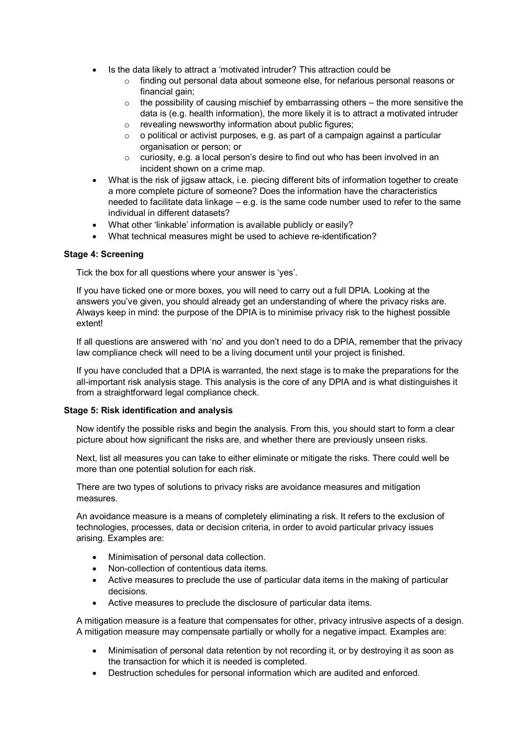- Is the data likely to attract a 'motivated intruder? This attraction could be
	- o finding out personal data about someone else, for nefarious personal reasons or financial gain;
	- $\circ$  the possibility of causing mischief by embarrassing others the more sensitive the data is (e.g. health information), the more likely it is to attract a motivated intruder
	- o revealing newsworthy information about public figures;
	- $\circ$  o political or activist purposes, e.g. as part of a campaign against a particular organisation or person; or
	- o curiosity, e.g. a local person's desire to find out who has been involved in an incident shown on a crime map.
- What is the risk of jigsaw attack, i.e. piecing different bits of information together to create a more complete picture of someone? Does the information have the characteristics needed to facilitate data linkage – e.g. is the same code number used to refer to the same individual in different datasets?
- What other 'linkable' information is available publicly or easily?
- What technical measures might be used to achieve re-identification?

#### **Stage 4: Screening**

Tick the box for all questions where your answer is 'yes'.

If you have ticked one or more boxes, you will need to carry out a full DPIA. Looking at the answers you've given, you should already get an understanding of where the privacy risks are. Always keep in mind: the purpose of the DPIA is to minimise privacy risk to the highest possible extent!

If all questions are answered with 'no' and you don't need to do a DPIA, remember that the privacy law compliance check will need to be a living document until your project is finished.

If you have concluded that a DPIA is warranted, the next stage is to make the preparations for the all-important risk analysis stage. This analysis is the core of any DPIA and is what distinguishes it from a straightforward legal compliance check.

#### **Stage 5: Risk identification and analysis**

Now identify the possible risks and begin the analysis. From this, you should start to form a clear picture about how significant the risks are, and whether there are previously unseen risks.

Next, list all measures you can take to either eliminate or mitigate the risks. There could well be more than one potential solution for each risk.

There are two types of solutions to privacy risks are avoidance measures and mitigation measures.

An avoidance measure is a means of completely eliminating a risk. It refers to the exclusion of technologies, processes, data or decision criteria, in order to avoid particular privacy issues arising. Examples are:

- Minimisation of personal data collection.
- Non-collection of contentious data items.
- Active measures to preclude the use of particular data items in the making of particular decisions.
- Active measures to preclude the disclosure of particular data items.

A mitigation measure is a feature that compensates for other, privacy intrusive aspects of a design. A mitigation measure may compensate partially or wholly for a negative impact. Examples are:

- Minimisation of personal data retention by not recording it, or by destroying it as soon as the transaction for which it is needed is completed.
- Destruction schedules for personal information which are audited and enforced.